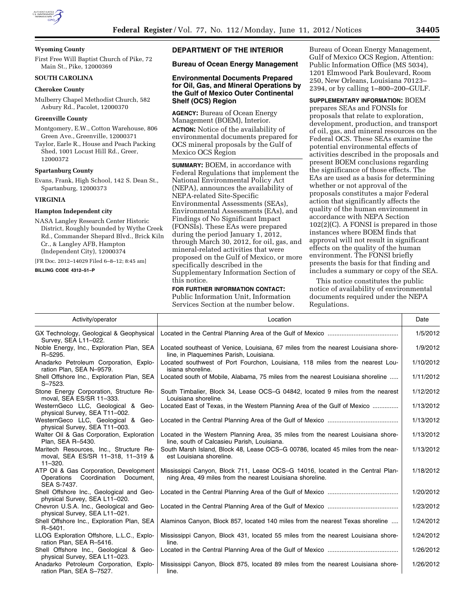

## **Wyoming County**

First Free Will Baptist Church of Pike, 72 Main St., Pike, 12000369

## **SOUTH CAROLINA**

# **Cherokee County**

Mulberry Chapel Methodist Church, 582 Asbury Rd., Pacolet, 12000370

## **Greenville County**

Montgomery, E.W., Cotton Warehouse, 806 Green Ave., Greenville, 12000371

Taylor, Earle R., House and Peach Packing Shed, 1001 Locust Hill Rd., Greer, 12000372

## **Spartanburg County**

Evans, Frank, High School, 142 S. Dean St., Spartanburg, 12000373

## **VIRGINIA**

## **Hampton Independent city**

NASA Langley Research Center Historic District, Roughly bounded by Wythe Creek Rd., Commander Shepard Blvd., Brick Kiln Cr., & Langley AFB, Hampton (Independent City), 12000374

[FR Doc. 2012–14029 Filed 6–8–12; 8:45 am]

**BILLING CODE 4312–51–P** 

# **DEPARTMENT OF THE INTERIOR**

# **Bureau of Ocean Energy Management**

# **Environmental Documents Prepared for Oil, Gas, and Mineral Operations by the Gulf of Mexico Outer Continental Shelf (OCS) Region**

**AGENCY:** Bureau of Ocean Energy Management (BOEM), Interior. **ACTION:** Notice of the availability of environmental documents prepared for OCS mineral proposals by the Gulf of Mexico OCS Region

**SUMMARY:** BOEM, in accordance with Federal Regulations that implement the National Environmental Policy Act (NEPA), announces the availability of NEPA-related Site-Specific Environmental Assessments (SEAs), Environmental Assessments (EAs), and Findings of No Significant Impact (FONSIs). These EAs were prepared during the period January 1, 2012, through March 30, 2012, for oil, gas, and mineral-related activities that were proposed on the Gulf of Mexico, or more specifically described in the Supplementary Information Section of this notice.

#### **FOR FURTHER INFORMATION CONTACT:**

Public Information Unit, Information Services Section at the number below. Bureau of Ocean Energy Management, Gulf of Mexico OCS Region, Attention: Public Information Office (MS 5034), 1201 Elmwood Park Boulevard, Room 250, New Orleans, Louisiana 70123– 2394, or by calling 1–800–200–GULF.

#### **SUPPLEMENTARY INFORMATION:** BOEM

prepares SEAs and FONSIs for proposals that relate to exploration, development, production, and transport of oil, gas, and mineral resources on the Federal OCS. These SEAs examine the potential environmental effects of activities described in the proposals and present BOEM conclusions regarding the significance of those effects. The EAs are used as a basis for determining whether or not approval of the proposals constitutes a major Federal action that significantly affects the quality of the human environment in accordance with NEPA Section 102(2)(C). A FONSI is prepared in those instances where BOEM finds that approval will not result in significant effects on the quality of the human environment. The FONSI briefly presents the basis for that finding and includes a summary or copy of the SEA.

This notice constitutes the public notice of availability of environmental documents required under the NEPA Regulations.

| Activity/operator                                                                             | Location                                                                                                                                    | Date      |
|-----------------------------------------------------------------------------------------------|---------------------------------------------------------------------------------------------------------------------------------------------|-----------|
| GX Technology, Geological & Geophysical<br>Survey, SEA L11-022.                               |                                                                                                                                             | 1/5/2012  |
| Noble Energy, Inc., Exploration Plan, SEA<br>R-5295.                                          | Located southeast of Venice, Louisiana, 67 miles from the nearest Louisiana shore-<br>line, in Plaguemines Parish, Louisiana.               | 1/9/2012  |
| Anadarko Petroleum Corporation, Explo-<br>ration Plan, SEA N-9579.                            | Located southwest of Port Fourchon, Louisiana, 118 miles from the nearest Lou-<br>isiana shoreline.                                         | 1/10/2012 |
| Shell Offshore Inc., Exploration Plan, SEA<br>$S - 7523.$                                     | Located south of Mobile, Alabama, 75 miles from the nearest Louisiana shoreline                                                             | 1/11/2012 |
| Stone Energy Corporation, Structure Re-<br>moval, SEA ES/SR 11-333.                           | South Timbalier, Block 34, Lease OCS-G 04842, located 9 miles from the nearest<br>Louisiana shoreline.                                      | 1/12/2012 |
| WesternGeco LLC, Geological & Geo-<br>physical Survey, SEA T11-002.                           | Located East of Texas, in the Western Planning Area of the Gulf of Mexico                                                                   | 1/13/2012 |
| WesternGeco LLC, Geological & Geo-<br>physical Survey, SEA T11-003.                           |                                                                                                                                             | 1/13/2012 |
| Walter Oil & Gas Corporation, Exploration<br>Plan, SEA R-5430.                                | Located in the Western Planning Area, 35 miles from the nearest Louisiana shore-<br>line, south of Calcasieu Parish, Louisiana.             | 1/13/2012 |
| Maritech Resources, Inc., Structure Re-<br>moval, SEA ES/SR 11-318, 11-319 &<br>$11 - 320.$   | South Marsh Island, Block 48, Lease OCS–G 00786, located 45 miles from the near-<br>est Louisiana shoreline.                                | 1/13/2012 |
| ATP Oil & Gas Corporation, Development<br>Operations Coordination<br>Document,<br>SEA S-7437. | Mississippi Canyon, Block 711, Lease OCS-G 14016, located in the Central Plan-<br>ning Area, 49 miles from the nearest Louisiana shoreline. | 1/18/2012 |
| Shell Offshore Inc., Geological and Geo-<br>physical Survey, SEA L11-020.                     |                                                                                                                                             | 1/20/2012 |
| Chevron U.S.A. Inc., Geological and Geo-<br>physical Survey, SEA L11-021.                     |                                                                                                                                             | 1/23/2012 |
| Shell Offshore Inc., Exploration Plan, SEA<br>$R - 5401.$                                     | Alaminos Canyon, Block 857, located 140 miles from the nearest Texas shoreline                                                              | 1/24/2012 |
| LLOG Exploration Offshore, L.L.C., Explo-<br>ration Plan, SEA R-5416.                         | Mississippi Canyon, Block 431, located 55 miles from the nearest Louisiana shore-<br>line.                                                  | 1/24/2012 |
| Shell Offshore Inc., Geological & Geo-<br>physical Survey, SEA L11-023.                       |                                                                                                                                             | 1/26/2012 |
| Anadarko Petroleum Corporation, Explo-<br>ration Plan, SEA S-7527.                            | Mississippi Canyon, Block 875, located 89 miles from the nearest Louisiana shore-<br>line.                                                  | 1/26/2012 |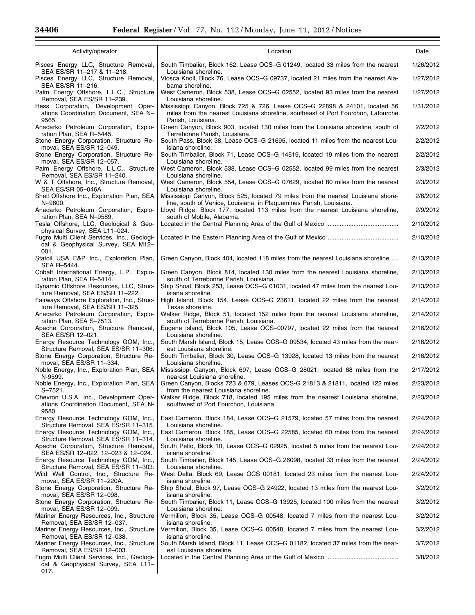| Activity/operator                                                                                                  | Location                                                                                                                                                                              | Date      |
|--------------------------------------------------------------------------------------------------------------------|---------------------------------------------------------------------------------------------------------------------------------------------------------------------------------------|-----------|
| Pisces Energy LLC, Structure Removal,                                                                              | South Timbalier, Block 162, Lease OCS-G 01249, located 33 miles from the nearest                                                                                                      | 1/26/2012 |
| SEA ES/SR 11-217 & 11-218.<br>Pisces Energy LLC, Structure Removal,<br>SEA ES/SR 11-216.                           | Louisiana shoreline.<br>Viosca Knoll, Block 76, Lease OCS–G 09737, located 21 miles from the nearest Ala-<br>bama shoreline.                                                          | 1/27/2012 |
| Palm Energy Offshore, L.L.C., Structure<br>Removal, SEA ES/SR 11-239.                                              | West Cameron, Block 538, Lease OCS-G 02552, located 93 miles from the nearest<br>Louisiana shoreline.                                                                                 | 1/27/2012 |
| Hess Corporation, Development Oper-<br>ations Coordination Document, SEA N-<br>9565.                               | Mississippi Canyon, Block 725 & 726, Lease OCS-G 22898 & 24101, located 56<br>miles from the nearest Louisiana shoreline, southeast of Port Fourchon, Lafourche<br>Parish, Louisiana. | 1/31/2012 |
| Anadarko Petroleum Corporation, Explo-<br>ration Plan, SEA R-5445.                                                 | Green Canyon, Block 903, located 130 miles from the Louisiana shoreline, south of<br>Terrebonne Parish, Louisiana.                                                                    | 2/2/2012  |
| Stone Energy Corporation, Structure Re-<br>moval, SEA ES/SR 12-049.                                                | South Pass, Block 38, Lease OCS–G 21695, located 11 miles from the nearest Lou-<br>isiana shoreline.                                                                                  | 2/2/2012  |
| Stone Energy Corporation, Structure Re-                                                                            | South Timbalier, Block 71, Lease OCS–G 14519, located 19 miles from the nearest                                                                                                       | 2/2/2012  |
| moval, SEA ES/SR 12-057.<br>Palm Energy Offshore, L.L.C., Structure<br>Removal, SEA ES/SR 11-240.                  | Louisiana shoreline.<br>West Cameron, Block 538, Lease OCS–G 02552, located 99 miles from the nearest<br>Louisiana shoreline.                                                         | 2/3/2012  |
| W & T Offshore, Inc., Structure Removal,                                                                           | West Cameron, Block 554, Lease OCS–G 07629, located 80 miles from the nearest<br>Louisiana shoreline.                                                                                 | 2/3/2012  |
| SEA ES/SR 05-046A.<br>Shell Offshore Inc., Exploration Plan, SEA<br>N-9600.                                        | Mississippi Canyon, Block 525, located 79 miles from the nearest Louisiana shore-                                                                                                     | 2/6/2012  |
| Anadarko Petroleum Corporation, Explo-                                                                             | line, south of Venice, Louisiana, in Plaquemines Parish, Louisiana.<br>Lloyd Ridge, Block 177, located 113 miles from the nearest Louisiana shoreline,                                | 2/9/2012  |
| ration Plan, SEA N-9589.<br>Tesla Offshore, LLC, Geological & Geo-                                                 | south of Mobile, Alabama.                                                                                                                                                             | 2/10/2012 |
| physical Survey, SEA L11-024.<br>Fugro Multi Client Services, Inc., Geologi-<br>cal & Geophysical Survey, SEA M12- |                                                                                                                                                                                       | 2/10/2012 |
| 001.<br>Statoil USA E&P Inc., Exploration Plan,                                                                    | Green Canyon, Block 404, located 118 miles from the nearest Louisiana shoreline                                                                                                       | 2/13/2012 |
| SEA R-5444.<br>Cobalt International Energy, L.P., Explo-                                                           | Green Canyon, Block 814, located 130 miles from the nearest Louisiana shoreline,                                                                                                      | 2/13/2012 |
| ration Plan, SEA R-5414.<br>Dynamic Offshore Resources, LLC, Struc-                                                | south of Terrebonne Parish, Louisiana.<br>Ship Shoal, Block 253, Lease OCS–G 01031, located 47 miles from the nearest Lou-                                                            | 2/13/2012 |
| ture Removal, SEA ES/SR 11-222.<br>Fairways Offshore Exploration, Inc., Struc-                                     | isiana shoreline.<br>High Island, Block 154, Lease OCS–G 23611, located 22 miles from the nearest                                                                                     | 2/14/2012 |
| ture Removal, SEA ES/SR 11-325.<br>Anadarko Petroleum Corporation, Explo-                                          | Texas shoreline.<br>Walker Ridge, Block 51, located 152 miles from the nearest Louisiana shoreline,                                                                                   | 2/14/2012 |
| ration Plan, SEA S-7513.<br>Apache Corporation, Structure Removal,                                                 | south of Terrebonne Parish, Louisiana.<br>Eugene Island, Block 105, Lease OCS-00797, located 22 miles from the nearest                                                                | 2/16/2012 |
| SEA ES/SR 12-021.<br>Energy Resource Technology GOM, Inc.,                                                         | Louisiana shoreline.<br>South Marsh Island, Block 15, Lease OCS-G 09534, located 43 miles from the near-                                                                              | 2/16/2012 |
| Structure Removal, SEA ES/SR 11-306.<br>Stone Energy Corporation, Structure Re-                                    | est Louisiana shoreline.<br>South Timbalier, Block 30, Lease OCS–G 13928, located 13 miles from the nearest                                                                           | 2/16/2012 |
| moval, SEA ES/SR 11-334.<br>Noble Energy, Inc., Exploration Plan, SEA                                              | Louisiana shoreline.<br>Mississippi Canyon, Block 697, Lease OCS-G 28021, located 68 miles from the                                                                                   | 2/17/2012 |
| N-9599.<br>Noble Energy, Inc., Exploration Plan, SEA                                                               | nearest Louisiana shoreline.<br>Green Canyon, Blocks 723 & 679, Leases OCS-G 21813 & 21811, located 122 miles                                                                         | 2/23/2012 |
| S-7521.<br>Chevron U.S.A. Inc., Development Oper-<br>ations Coordination Document, SEA N-                          | from the nearest Louisiana shoreline.<br>Walker Ridge, Block 718, located 195 miles from the nearest Louisiana shoreline,<br>southwest of Port Fourchon, Louisiana.                   | 2/23/2012 |
| 9580.<br>Energy Resource Technology GOM, Inc.,                                                                     | East Cameron, Block 184, Lease OCS-G 21579, located 57 miles from the nearest                                                                                                         | 2/24/2012 |
| Structure Removal, SEA ES/SR 11-315.<br>Energy Resource Technology GOM, Inc.,                                      | Louisiana shoreline.<br>East Cameron, Block 185, Lease OCS–G 22585, located 60 miles from the nearest                                                                                 | 2/24/2012 |
| Structure Removal, SEA ES/SR 11-314.<br>Apache Corporation, Structure Removal,                                     | Louisiana shoreline.<br>South Pelto, Block 10, Lease OCS–G 02925, located 5 miles from the nearest Lou-                                                                               | 2/24/2012 |
| SEA ES/SR 12-022, 12-023 & 12-024.<br>Energy Resource Technology GOM, Inc.,                                        | isiana shoreline.<br>South Timbalier, Block 145, Lease OCS–G 26098, located 33 miles from the nearest                                                                                 | 2/24/2012 |
| Structure Removal, SEA ES/SR 11-303.<br>Wild Well Control, Inc., Structure Re-                                     | Louisiana shoreline.<br>West Delta, Block 69, Lease OCS 00181, located 23 miles from the nearest Lou-                                                                                 | 2/24/2012 |
| moval, SEA ES/SR 11-220A.<br>Stone Energy Corporation, Structure Re-                                               | isiana shoreline.<br>Ship Shoal, Block 97, Lease OCS–G 24922, located 13 miles from the nearest Lou-                                                                                  | 3/2/2012  |
| moval, SEA ES/SR 12-098.<br>Stone Energy Corporation, Structure Re-                                                | isiana shoreline.<br>South Timbalier, Block 11, Lease OCS–G 13925, located 100 miles from the nearest                                                                                 | 3/2/2012  |
| moval, SEA ES/SR 12-099.<br>Mariner Energy Resources, Inc., Structure                                              | Louisiana shoreline.<br>Vermilion, Block 35, Lease OCS–G 00548, located 7 miles from the nearest Lou-                                                                                 | 3/2/2012  |
| Removal, SEA ES/SR 12-037.<br>Mariner Energy Resources, Inc., Structure                                            | isiana shoreline.<br>Vermilion, Block 35, Lease OCS-G 00548, located 7 miles from the nearest Lou-                                                                                    | 3/2/2012  |
| Removal, SEA ES/SR 12-038.<br>Mariner Energy Resources, Inc., Structure                                            | isiana shoreline.<br>South Marsh Island, Block 11, Lease OCS-G 01182, located 37 miles from the near-                                                                                 | 3/7/2012  |
| Removal, SEA ES/SR 12-003.<br>Fugro Multi Client Services, Inc., Geologi-<br>cal & Geophysical Survey, SEA L11-    | est Louisiana shoreline.                                                                                                                                                              | 3/8/2012  |
| 017.                                                                                                               |                                                                                                                                                                                       |           |